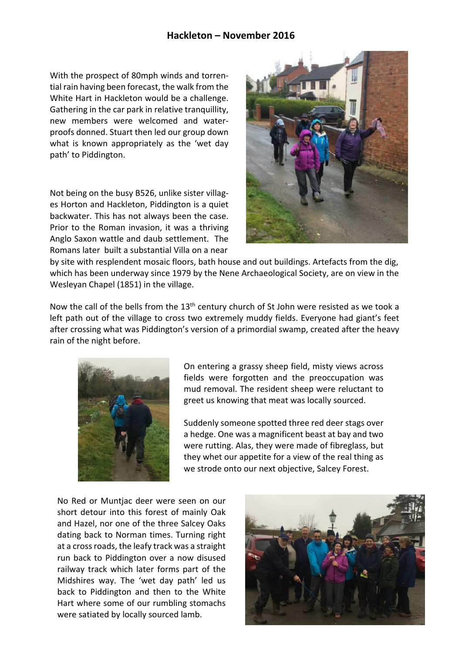## **Hackleton – November 2016**

With the prospect of 80mph winds and torrential rain having been forecast, the walk from the White Hart in Hackleton would be a challenge. Gathering in the car park in relative tranquillity, new members were welcomed and waterproofs donned. Stuart then led our group down what is known appropriately as the 'wet day path' to Piddington.

Not being on the busy B526, unlike sister villages Horton and Hackleton, Piddington is a quiet backwater. This has not always been the case. Prior to the Roman invasion, it was a thriving Anglo Saxon wattle and daub settlement. The Romans later built a substantial Villa on a near



by site with resplendent mosaic floors, bath house and out buildings. Artefacts from the dig, which has been underway since 1979 by the Nene Archaeological Society, are on view in the Wesleyan Chapel (1851) in the village.

Now the call of the bells from the  $13<sup>th</sup>$  century church of St John were resisted as we took a left path out of the village to cross two extremely muddy fields. Everyone had giant's feet after crossing what was Piddington's version of a primordial swamp, created after the heavy rain of the night before.



On entering a grassy sheep field, misty views across fields were forgotten and the preoccupation was mud removal. The resident sheep were reluctant to greet us knowing that meat was locally sourced.

Suddenly someone spotted three red deer stags over a hedge. One was a magnificent beast at bay and two were rutting. Alas, they were made of fibreglass, but they whet our appetite for a view of the real thing as we strode onto our next objective, Salcey Forest.

No Red or Muntjac deer were seen on our short detour into this forest of mainly Oak and Hazel, nor one of the three Salcey Oaks dating back to Norman times. Turning right at a cross roads, the leafy track was a straight run back to Piddington over a now disused railway track which later forms part of the Midshires way. The 'wet day path' led us back to Piddington and then to the White Hart where some of our rumbling stomachs were satiated by locally sourced lamb.